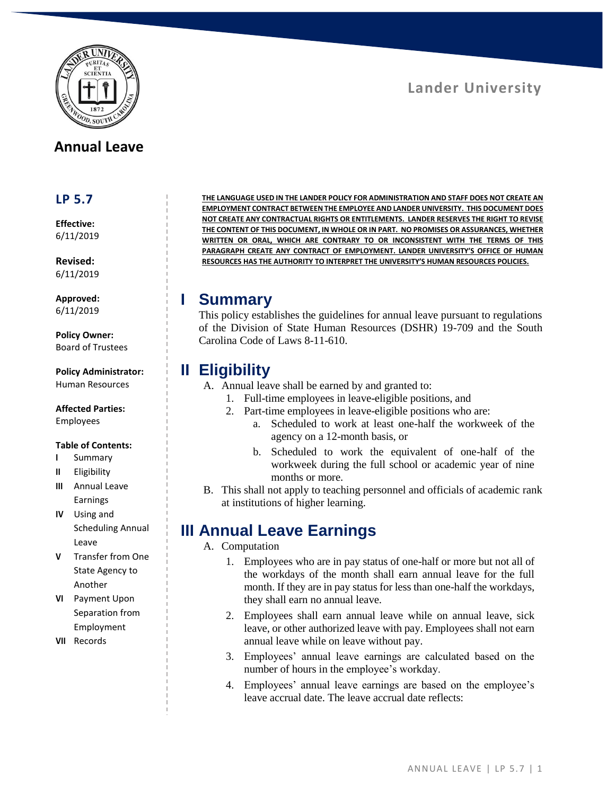

## **Annual Leave**

#### **LP 5.7**

**Effective:** 6/11/2019

**Revised:** 6/11/2019

**Approved:** 6/11/2019

**Policy Owner:** Board of Trustees

**Policy Administrator:** Human Resources

**Affected Parties:**

Employees

#### **Table of Contents:**

- **I** Summary
- **II** Eligibility
- **III** Annual Leave Earnings
- **IV** Using and Scheduling Annual Leave
- **V** Transfer from One State Agency to Another
- **VI** Payment Upon Separation from Employment
- **VII** Records

**THE LANGUAGE USED IN THE LANDER POLICY FOR ADMINISTRATION AND STAFF DOES NOT CREATE AN EMPLOYMENT CONTRACT BETWEEN THE EMPLOYEE AND LANDER UNIVERSITY. THIS DOCUMENT DOES NOT CREATE ANY CONTRACTUAL RIGHTS OR ENTITLEMENTS. LANDER RESERVES THE RIGHT TO REVISE THE CONTENT OF THIS DOCUMENT, IN WHOLE OR IN PART. NO PROMISES OR ASSURANCES, WHETHER WRITTEN OR ORAL, WHICH ARE CONTRARY TO OR INCONSISTENT WITH THE TERMS OF THIS PARAGRAPH CREATE ANY CONTRACT OF EMPLOYMENT. LANDER UNIVERSITY'S OFFICE OF HUMAN RESOURCES HAS THE AUTHORITY TO INTERPRET THE UNIVERSITY'S HUMAN RESOURCES POLICIES.**

#### **I Summary**

This policy establishes the guidelines for annual leave pursuant to regulations of the Division of State Human Resources (DSHR) 19-709 and the South Carolina Code of Laws 8-11-610.

## **II Eligibility**

- A. Annual leave shall be earned by and granted to:
	- 1. Full-time employees in leave-eligible positions, and
	- 2. Part-time employees in leave-eligible positions who are:
		- a. Scheduled to work at least one-half the workweek of the agency on a 12-month basis, or
		- b. Scheduled to work the equivalent of one-half of the workweek during the full school or academic year of nine months or more.
- B. This shall not apply to teaching personnel and officials of academic rank at institutions of higher learning.

# **III Annual Leave Earnings**

#### A. Computation

- 1. Employees who are in pay status of one-half or more but not all of the workdays of the month shall earn annual leave for the full month. If they are in pay status for less than one-half the workdays, they shall earn no annual leave.
- 2. Employees shall earn annual leave while on annual leave, sick leave, or other authorized leave with pay. Employees shall not earn annual leave while on leave without pay.
- 3. Employees' annual leave earnings are calculated based on the number of hours in the employee's workday.
- 4. Employees' annual leave earnings are based on the employee's leave accrual date. The leave accrual date reflects:

# **Lander University**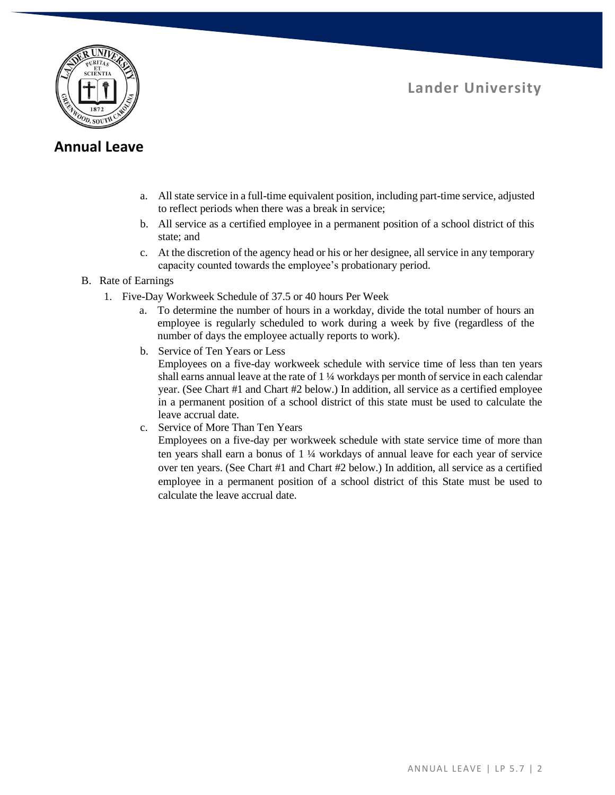

## **Lander University**

#### **Annual Leave**

- a. All state service in a full-time equivalent position, including part-time service, adjusted to reflect periods when there was a break in service;
- b. All service as a certified employee in a permanent position of a school district of this state; and
- c. At the discretion of the agency head or his or her designee, all service in any temporary capacity counted towards the employee's probationary period.
- B. Rate of Earnings
	- 1. Five-Day Workweek Schedule of 37.5 or 40 hours Per Week
		- a. To determine the number of hours in a workday, divide the total number of hours an employee is regularly scheduled to work during a week by five (regardless of the number of days the employee actually reports to work).
		- b. Service of Ten Years or Less

Employees on a five-day workweek schedule with service time of less than ten years shall earns annual leave at the rate of 1 ¼ workdays per month of service in each calendar year. (See Chart #1 and Chart #2 below.) In addition, all service as a certified employee in a permanent position of a school district of this state must be used to calculate the leave accrual date.

c. Service of More Than Ten Years

Employees on a five-day per workweek schedule with state service time of more than ten years shall earn a bonus of 1 ¼ workdays of annual leave for each year of service over ten years. (See Chart #1 and Chart #2 below.) In addition, all service as a certified employee in a permanent position of a school district of this State must be used to calculate the leave accrual date.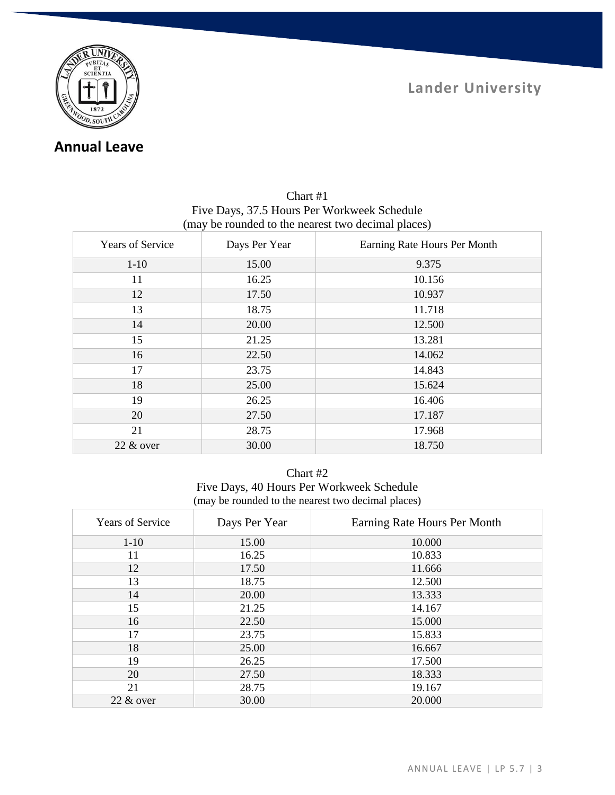

## **Annual Leave**

| Years of Service | Days Per Year | Earning Rate Hours Per Month |
|------------------|---------------|------------------------------|
| $1 - 10$         | 15.00         | 9.375                        |
| 11               | 16.25         | 10.156                       |
| 12               | 17.50         | 10.937                       |
| 13               | 18.75         | 11.718                       |
| 14               | 20.00         | 12.500                       |
| 15               | 21.25         | 13.281                       |
| 16               | 22.50         | 14.062                       |
| 17               | 23.75         | 14.843                       |
| 18               | 25.00         | 15.624                       |
| 19               | 26.25         | 16.406                       |
| 20               | 27.50         | 17.187                       |
| 21               | 28.75         | 17.968                       |
| $22 \&$ over     | 30.00         | 18.750                       |

#### Chart #1 Five Days, 37.5 Hours Per Workweek Schedule (may be rounded to the nearest two decimal places)

| nart . | # |
|--------|---|
|--------|---|

Five Days, 40 Hours Per Workweek Schedule (may be rounded to the nearest two decimal places)

| <b>Years of Service</b> | Days Per Year | Earning Rate Hours Per Month |
|-------------------------|---------------|------------------------------|
| $1-10$                  | 15.00         | 10.000                       |
| 11                      | 16.25         | 10.833                       |
| 12                      | 17.50         | 11.666                       |
| 13                      | 18.75         | 12.500                       |
| 14                      | 20.00         | 13.333                       |
| 15                      | 21.25         | 14.167                       |
| 16                      | 22.50         | 15.000                       |
| 17                      | 23.75         | 15.833                       |
| 18                      | 25.00         | 16.667                       |
| 19                      | 26.25         | 17.500                       |
| 20                      | 27.50         | 18.333                       |
| 21                      | 28.75         | 19.167                       |
| $22 \&$ over            | 30.00         | 20.000                       |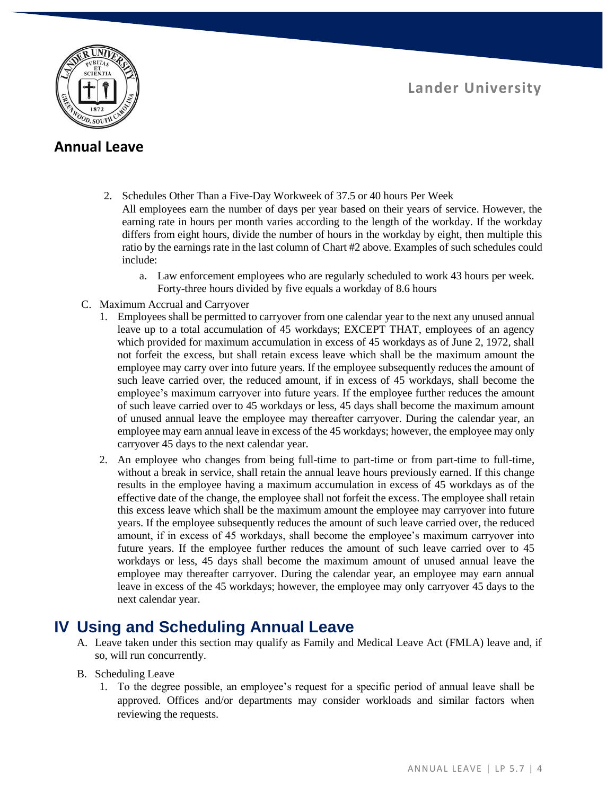**Lander University**



## **Annual Leave**

- 2. Schedules Other Than a Five-Day Workweek of 37.5 or 40 hours Per Week All employees earn the number of days per year based on their years of service. However, the earning rate in hours per month varies according to the length of the workday. If the workday differs from eight hours, divide the number of hours in the workday by eight, then multiple this ratio by the earnings rate in the last column of Chart #2 above. Examples of such schedules could include:
	- a. Law enforcement employees who are regularly scheduled to work 43 hours per week. Forty-three hours divided by five equals a workday of 8.6 hours
- C. Maximum Accrual and Carryover
	- 1. Employees shall be permitted to carryover from one calendar year to the next any unused annual leave up to a total accumulation of 45 workdays; EXCEPT THAT, employees of an agency which provided for maximum accumulation in excess of 45 workdays as of June 2, 1972, shall not forfeit the excess, but shall retain excess leave which shall be the maximum amount the employee may carry over into future years. If the employee subsequently reduces the amount of such leave carried over, the reduced amount, if in excess of 45 workdays, shall become the employee's maximum carryover into future years. If the employee further reduces the amount of such leave carried over to 45 workdays or less, 45 days shall become the maximum amount of unused annual leave the employee may thereafter carryover. During the calendar year, an employee may earn annual leave in excess of the 45 workdays; however, the employee may only carryover 45 days to the next calendar year.
	- 2. An employee who changes from being full-time to part-time or from part-time to full-time, without a break in service, shall retain the annual leave hours previously earned. If this change results in the employee having a maximum accumulation in excess of 45 workdays as of the effective date of the change, the employee shall not forfeit the excess. The employee shall retain this excess leave which shall be the maximum amount the employee may carryover into future years. If the employee subsequently reduces the amount of such leave carried over, the reduced amount, if in excess of 45 workdays, shall become the employee's maximum carryover into future years. If the employee further reduces the amount of such leave carried over to 45 workdays or less, 45 days shall become the maximum amount of unused annual leave the employee may thereafter carryover. During the calendar year, an employee may earn annual leave in excess of the 45 workdays; however, the employee may only carryover 45 days to the next calendar year.

## **IV Using and Scheduling Annual Leave**

- A. Leave taken under this section may qualify as Family and Medical Leave Act (FMLA) leave and, if so, will run concurrently.
- B. Scheduling Leave
	- 1. To the degree possible, an employee's request for a specific period of annual leave shall be approved. Offices and/or departments may consider workloads and similar factors when reviewing the requests.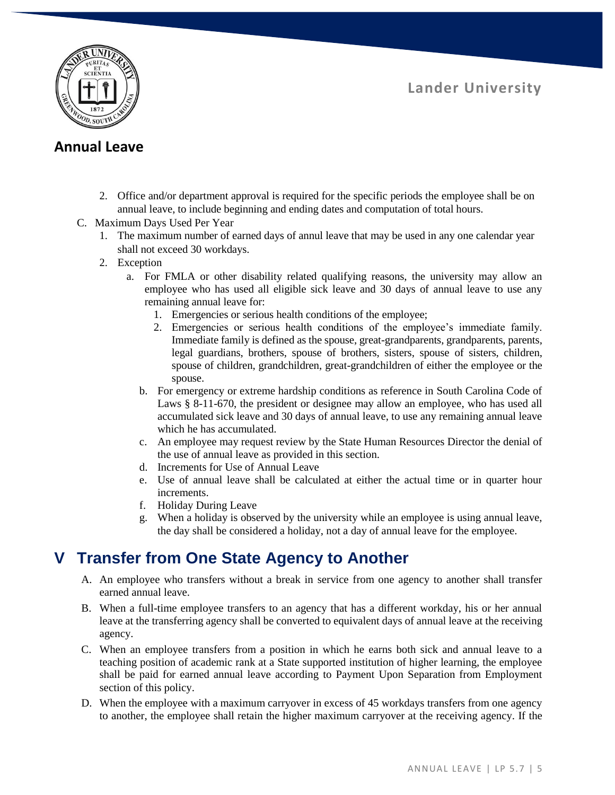**Lander University**



## **Annual Leave**

- 2. Office and/or department approval is required for the specific periods the employee shall be on annual leave, to include beginning and ending dates and computation of total hours.
- C. Maximum Days Used Per Year
	- 1. The maximum number of earned days of annul leave that may be used in any one calendar year shall not exceed 30 workdays.
	- 2. Exception
		- a. For FMLA or other disability related qualifying reasons, the university may allow an employee who has used all eligible sick leave and 30 days of annual leave to use any remaining annual leave for:
			- 1. Emergencies or serious health conditions of the employee;
			- 2. Emergencies or serious health conditions of the employee's immediate family. Immediate family is defined as the spouse, great-grandparents, grandparents, parents, legal guardians, brothers, spouse of brothers, sisters, spouse of sisters, children, spouse of children, grandchildren, great-grandchildren of either the employee or the spouse.
			- b. For emergency or extreme hardship conditions as reference in South Carolina Code of Laws § 8-11-670, the president or designee may allow an employee, who has used all accumulated sick leave and 30 days of annual leave, to use any remaining annual leave which he has accumulated.
			- c. An employee may request review by the State Human Resources Director the denial of the use of annual leave as provided in this section.
			- d. Increments for Use of Annual Leave
			- e. Use of annual leave shall be calculated at either the actual time or in quarter hour increments.
			- f. Holiday During Leave
			- g. When a holiday is observed by the university while an employee is using annual leave, the day shall be considered a holiday, not a day of annual leave for the employee.

# **V Transfer from One State Agency to Another**

- A. An employee who transfers without a break in service from one agency to another shall transfer earned annual leave.
- B. When a full-time employee transfers to an agency that has a different workday, his or her annual leave at the transferring agency shall be converted to equivalent days of annual leave at the receiving agency.
- C. When an employee transfers from a position in which he earns both sick and annual leave to a teaching position of academic rank at a State supported institution of higher learning, the employee shall be paid for earned annual leave according to Payment Upon Separation from Employment section of this policy.
- D. When the employee with a maximum carryover in excess of 45 workdays transfers from one agency to another, the employee shall retain the higher maximum carryover at the receiving agency. If the